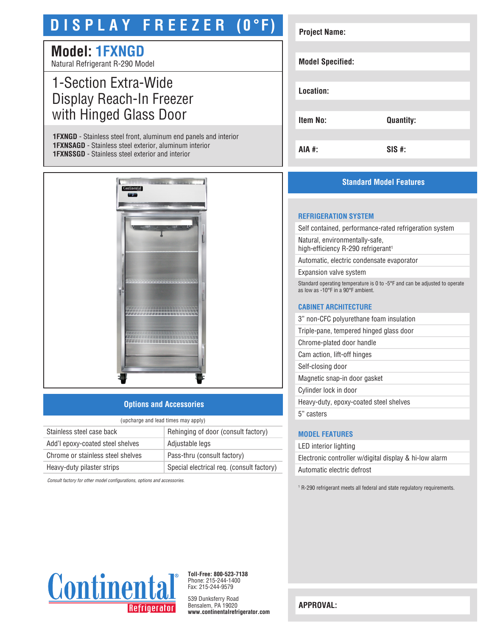# **D I S P L A Y F R E E Z E R (0°F)**

# **Model: 1FXNGD**

Natural Refrigerant R-290 Model

# 1-Section Extra-Wide Display Reach-In Freezer with Hinged Glass Door

**1FXNGD** - Stainless steel front, aluminum end panels and interior **1FXNSAGD** - Stainless steel exterior, aluminum interior **1FXNSSGD** - Stainless steel exterior and interior



# **Options and Accessories**

| (upcharge and lead times may apply) |                                           |  |
|-------------------------------------|-------------------------------------------|--|
| Stainless steel case back           | Rehinging of door (consult factory)       |  |
| Add'l epoxy-coated steel shelves    | Adjustable legs                           |  |
| Chrome or stainless steel shelves   | Pass-thru (consult factory)               |  |
| Heavy-duty pilaster strips          | Special electrical req. (consult factory) |  |

*Consult factory for other model configurations, options and accessories.*

| <b>Project Name:</b>    |                  |
|-------------------------|------------------|
|                         |                  |
|                         |                  |
| <b>Model Specified:</b> |                  |
|                         |                  |
|                         |                  |
| Location:               |                  |
|                         |                  |
|                         |                  |
| <b>Item No:</b>         | <b>Quantity:</b> |
|                         |                  |
|                         |                  |
| AIA #:                  | $SIS$ #:         |
|                         |                  |

# **Standard Model Features**

#### **REFRIGERATION SYSTEM**

Self contained, performance-rated refrigeration system

Natural, environmentally-safe, high-efficiency R-290 refrigerant<sup>1</sup>

Automatic, electric condensate evaporator

Expansion valve system

Standard operating temperature is 0 to -5°F and can be adjusted to operate as low as -10°F in a 90°F ambient.

### **CABINET ARCHITECTURE**

3" non-CFC polyurethane foam insulation

Triple-pane, tempered hinged glass door

Chrome-plated door handle

Cam action, lift-off hinges

Self-closing door Magnetic snap-in door gasket

Cylinder lock in door

Heavy-duty, epoxy-coated steel shelves

5" casters

# **MODEL FEATURES**

LED interior lighting Electronic controller w/digital display & hi-low alarm Automatic electric defrost

<sup>1</sup> R-290 refrigerant meets all federal and state regulatory requirements.



**Toll-Free: 800-523-7138** Phone: 215-244-1400 Fax: 215-244-9579

539 Dunksferry Road Bensalem, PA 19020 **www.continentalrefrigerator.com** 

**APPROVAL:**